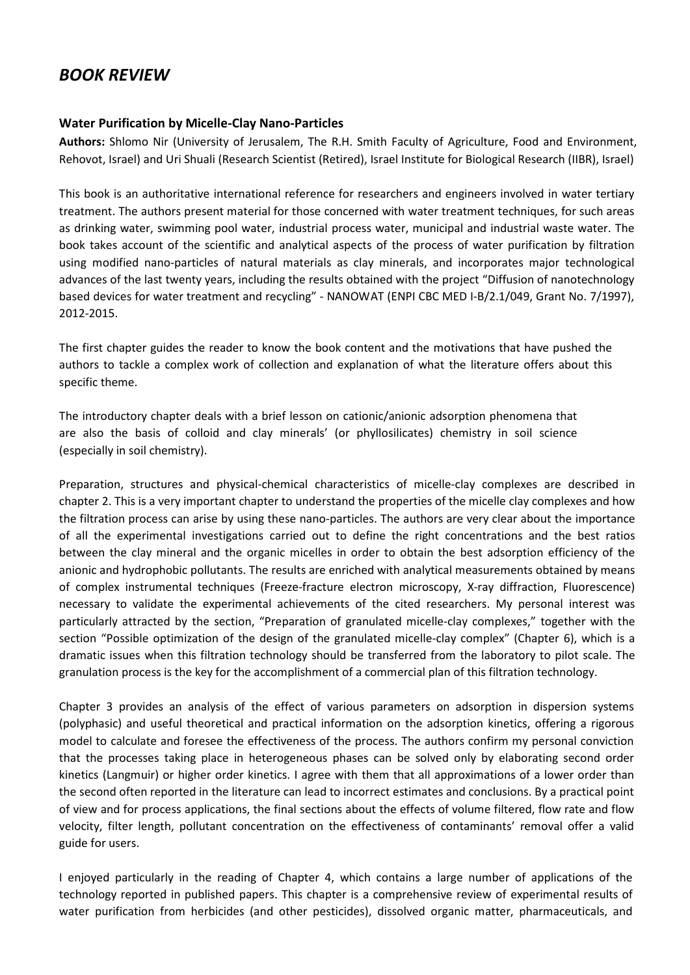## *BOOK REVIEW*

## **Water Purification by Micelle-Clay Nano-Particles**

**Authors:** Shlomo Nir (University of Jerusalem, The R.H. Smith Faculty of Agriculture, Food and Environment, Rehovot, Israel) and Uri Shuali (Research Scientist (Retired), Israel Institute for Biological Research (IIBR), Israel)

This book is an authoritative international reference for researchers and engineers involved in water tertiary treatment. The authors present material for those concerned with water treatment techniques, for such areas as drinking water, swimming pool water, industrial process water, municipal and industrial waste water. The book takes account of the scientific and analytical aspects of the process of water purification by filtration using modified nano-particles of natural materials as clay minerals, and incorporates major technological advances of the last twenty years, including the results obtained with the project "Diffusion of nanotechnology based devices for water treatment and recycling" - NANOWAT (ENPI CBC MED I-B/2.1/049, Grant No. 7/1997), 2012-2015.

The first chapter guides the reader to know the book content and the motivations that have pushed the authors to tackle a complex work of collection and explanation of what the literature offers about this specific theme.

The introductory chapter deals with a brief lesson on cationic/anionic adsorption phenomena that are also the basis of colloid and clay minerals' (or phyllosilicates) chemistry in soil science (especially in soil chemistry).

Preparation, structures and physical-chemical characteristics of micelle-clay complexes are described in chapter 2. This is a very important chapter to understand the properties of the micelle clay complexes and how the filtration process can arise by using these nano-particles. The authors are very clear about the importance of all the experimental investigations carried out to define the right concentrations and the best ratios between the clay mineral and the organic micelles in order to obtain the best adsorption efficiency of the anionic and hydrophobic pollutants. The results are enriched with analytical measurements obtained by means of complex instrumental techniques (Freeze-fracture electron microscopy, X-ray diffraction, Fluorescence) necessary to validate the experimental achievements of the cited researchers. My personal interest was particularly attracted by the section, "Preparation of granulated micelle-clay complexes," together with the section "Possible optimization of the design of the granulated micelle-clay complex" (Chapter 6), which is a dramatic issues when this filtration technology should be transferred from the laboratory to pilot scale. The granulation process is the key for the accomplishment of a commercial plan of this filtration technology.

Chapter 3 provides an analysis of the effect of various parameters on adsorption in dispersion systems (polyphasic) and useful theoretical and practical information on the adsorption kinetics, offering a rigorous model to calculate and foresee the effectiveness of the process. The authors confirm my personal conviction that the processes taking place in heterogeneous phases can be solved only by elaborating second order kinetics (Langmuir) or higher order kinetics. I agree with them that all approximations of a lower order than the second often reported in the literature can lead to incorrect estimates and conclusions. By a practical point of view and for process applications, the final sections about the effects of volume filtered, flow rate and flow velocity, filter length, pollutant concentration on the effectiveness of contaminants' removal offer a valid guide for users.

I enjoyed particularly in the reading of Chapter 4, which contains a large number of applications of the technology reported in published papers. This chapter is a comprehensive review of experimental results of water purification from herbicides (and other pesticides), dissolved organic matter, pharmaceuticals, and